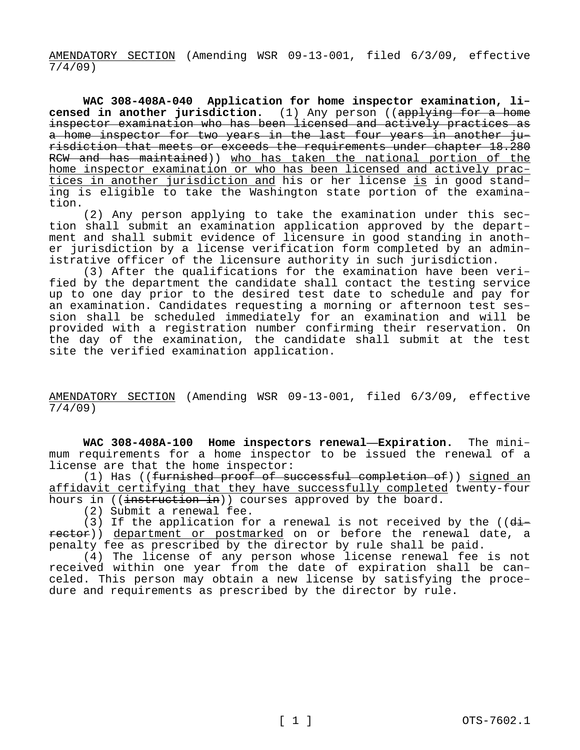AMENDATORY SECTION (Amending WSR 09-13-001, filed 6/3/09, effective 7/4/09)

**WAC 308-408A-040 Application for home inspector examination, licensed in another jurisdiction.** (1) Any person ((applying for a home inspector examination who has been licensed and actively practices as a home inspector for two years in the last four years in another jurisdiction that meets or exceeds the requirements under chapter 18.280 RCW and has maintained)) who has taken the national portion of the home inspector examination or who has been licensed and actively practices in another jurisdiction and his or her license is in good standing is eligible to take the Washington state portion of the examination.

(2) Any person applying to take the examination under this section shall submit an examination application approved by the department and shall submit evidence of licensure in good standing in another jurisdiction by a license verification form completed by an administrative officer of the licensure authority in such jurisdiction.

(3) After the qualifications for the examination have been verified by the department the candidate shall contact the testing service up to one day prior to the desired test date to schedule and pay for an examination. Candidates requesting a morning or afternoon test session shall be scheduled immediately for an examination and will be provided with a registration number confirming their reservation. On the day of the examination, the candidate shall submit at the test site the verified examination application.

AMENDATORY SECTION (Amending WSR 09-13-001, filed 6/3/09, effective 7/4/09)

**WAC 308-408A-100 Home inspectors renewal—Expiration.** The minimum requirements for a home inspector to be issued the renewal of a license are that the home inspector:

(1) Has ((furnished proof of successful completion of)) signed an affidavit certifying that they have successfully completed twenty-four hours in ((instruction in)) courses approved by the board.

(2) Submit a renewal fee.

(3) If the application for a renewal is not received by the (( $d\dot{t}$ rector)) department or postmarked on or before the renewal date, a penalty fee as prescribed by the director by rule shall be paid.

(4) The license of any person whose license renewal fee is not received within one year from the date of expiration shall be canceled. This person may obtain a new license by satisfying the procedure and requirements as prescribed by the director by rule.